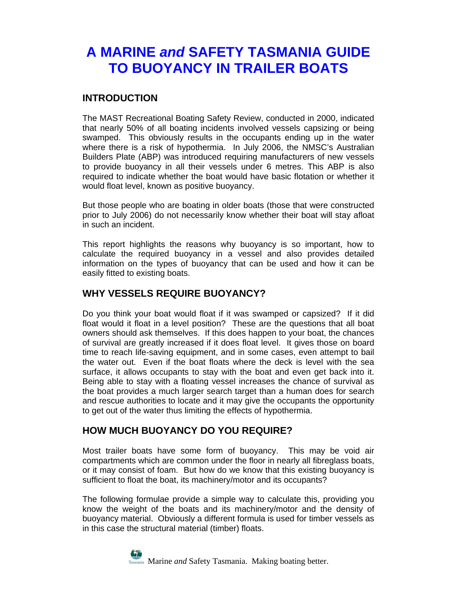# **A MARINE** *and* **SAFETY TASMANIA GUIDE TO BUOYANCY IN TRAILER BOATS**

### **INTRODUCTION**

The MAST Recreational Boating Safety Review, conducted in 2000, indicated that nearly 50% of all boating incidents involved vessels capsizing or being swamped. This obviously results in the occupants ending up in the water where there is a risk of hypothermia. In July 2006, the NMSC's Australian Builders Plate (ABP) was introduced requiring manufacturers of new vessels to provide buoyancy in all their vessels under 6 metres. This ABP is also required to indicate whether the boat would have basic flotation or whether it would float level, known as positive buoyancy.

But those people who are boating in older boats (those that were constructed prior to July 2006) do not necessarily know whether their boat will stay afloat in such an incident.

This report highlights the reasons why buoyancy is so important, how to calculate the required buoyancy in a vessel and also provides detailed information on the types of buoyancy that can be used and how it can be easily fitted to existing boats.

#### **WHY VESSELS REQUIRE BUOYANCY?**

Do you think your boat would float if it was swamped or capsized? If it did float would it float in a level position? These are the questions that all boat owners should ask themselves. If this does happen to your boat, the chances of survival are greatly increased if it does float level. It gives those on board time to reach life-saving equipment, and in some cases, even attempt to bail the water out. Even if the boat floats where the deck is level with the sea surface, it allows occupants to stay with the boat and even get back into it. Being able to stay with a floating vessel increases the chance of survival as the boat provides a much larger search target than a human does for search and rescue authorities to locate and it may give the occupants the opportunity to get out of the water thus limiting the effects of hypothermia.

### **HOW MUCH BUOYANCY DO YOU REQUIRE?**

Most trailer boats have some form of buoyancy. This may be void air compartments which are common under the floor in nearly all fibreglass boats, or it may consist of foam. But how do we know that this existing buoyancy is sufficient to float the boat, its machinery/motor and its occupants?

The following formulae provide a simple way to calculate this, providing you know the weight of the boats and its machinery/motor and the density of buoyancy material. Obviously a different formula is used for timber vessels as in this case the structural material (timber) floats.

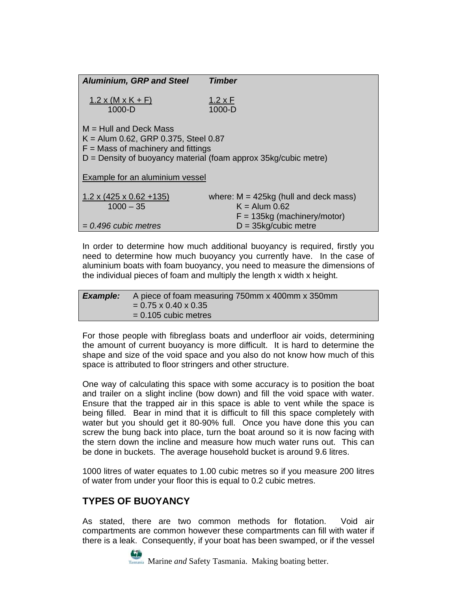| <b>Aluminium, GRP and Steel</b>                                                                                                                                                 | <b>Timber</b>                                                                               |  |  |
|---------------------------------------------------------------------------------------------------------------------------------------------------------------------------------|---------------------------------------------------------------------------------------------|--|--|
| $1.2 \times (M \times K + F)$<br>$1000 - D$                                                                                                                                     | <u>1.2 x F</u><br>$1000 - D$                                                                |  |  |
| $M = Hull$ and Deck Mass<br>$K =$ Alum 0.62, GRP 0.375, Steel 0.87<br>$F =$ Mass of machinery and fittings<br>$D =$ Density of buoyancy material (foam approx 35kg/cubic metre) |                                                                                             |  |  |
| <b>Example for an aluminium vessel</b>                                                                                                                                          |                                                                                             |  |  |
| $1.2 \times (425 \times 0.62 + 135)$<br>$1000 - 35$                                                                                                                             | where: $M = 425kg$ (hull and deck mass)<br>$K =$ Alum 0.62<br>$F = 135kg$ (machinery/motor) |  |  |
| $= 0.496$ cubic metres                                                                                                                                                          | $D = 35$ kg/cubic metre                                                                     |  |  |

In order to determine how much additional buoyancy is required, firstly you need to determine how much buoyancy you currently have. In the case of aluminium boats with foam buoyancy, you need to measure the dimensions of the individual pieces of foam and multiply the length x width x height.

*Example:* A piece of foam measuring 750mm x 400mm x 350mm  $= 0.75 \times 0.40 \times 0.35$ = 0.105 cubic metres

For those people with fibreglass boats and underfloor air voids, determining the amount of current buoyancy is more difficult. It is hard to determine the shape and size of the void space and you also do not know how much of this space is attributed to floor stringers and other structure.

One way of calculating this space with some accuracy is to position the boat and trailer on a slight incline (bow down) and fill the void space with water. Ensure that the trapped air in this space is able to vent while the space is being filled. Bear in mind that it is difficult to fill this space completely with water but you should get it 80-90% full. Once you have done this you can screw the bung back into place, turn the boat around so it is now facing with the stern down the incline and measure how much water runs out. This can be done in buckets. The average household bucket is around 9.6 litres.

1000 litres of water equates to 1.00 cubic metres so if you measure 200 litres of water from under your floor this is equal to 0.2 cubic metres.

## **TYPES OF BUOYANCY**

As stated, there are two common methods for flotation. Void air compartments are common however these compartments can fill with water if there is a leak. Consequently, if your boat has been swamped, or if the vessel

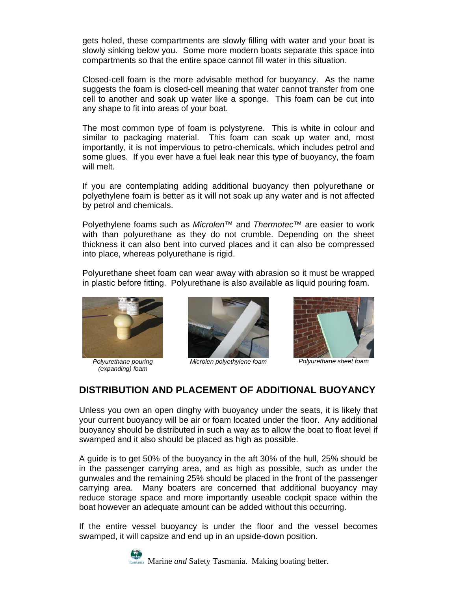gets holed, these compartments are slowly filling with water and your boat is slowly sinking below you. Some more modern boats separate this space into compartments so that the entire space cannot fill water in this situation.

Closed-cell foam is the more advisable method for buoyancy. As the name suggests the foam is closed-cell meaning that water cannot transfer from one cell to another and soak up water like a sponge. This foam can be cut into any shape to fit into areas of your boat.

The most common type of foam is polystyrene. This is white in colour and similar to packaging material. This foam can soak up water and, most importantly, it is not impervious to petro-chemicals, which includes petrol and some glues. If you ever have a fuel leak near this type of buoyancy, the foam will melt.

If you are contemplating adding additional buoyancy then polyurethane or polyethylene foam is better as it will not soak up any water and is not affected by petrol and chemicals.

Polyethylene foams such as *Microlen™* and *Thermotec™* are easier to work with than polyurethane as they do not crumble. Depending on the sheet thickness it can also bent into curved places and it can also be compressed into place, whereas polyurethane is rigid.

Polyurethane sheet foam can wear away with abrasion so it must be wrapped in plastic before fitting. Polyurethane is also available as liquid pouring foam.



*Polyurethane pouring (expanding) foam* 



*Microlen polyethylene foam Polyurethane sheet foam*



### **DISTRIBUTION AND PLACEMENT OF ADDITIONAL BUOYANCY**

Unless you own an open dinghy with buoyancy under the seats, it is likely that your current buoyancy will be air or foam located under the floor. Any additional buoyancy should be distributed in such a way as to allow the boat to float level if swamped and it also should be placed as high as possible.

A guide is to get 50% of the buoyancy in the aft 30% of the hull, 25% should be in the passenger carrying area, and as high as possible, such as under the gunwales and the remaining 25% should be placed in the front of the passenger carrying area. Many boaters are concerned that additional buoyancy may reduce storage space and more importantly useable cockpit space within the boat however an adequate amount can be added without this occurring.

If the entire vessel buoyancy is under the floor and the vessel becomes swamped, it will capsize and end up in an upside-down position.

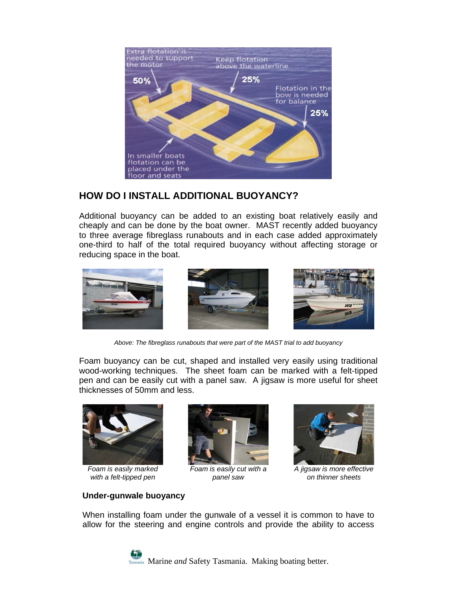

### **HOW DO I INSTALL ADDITIONAL BUOYANCY?**

Additional buoyancy can be added to an existing boat relatively easily and cheaply and can be done by the boat owner. MAST recently added buoyancy to three average fibreglass runabouts and in each case added approximately one-third to half of the total required buoyancy without affecting storage or reducing space in the boat.



*Above: The fibreglass runabouts that were part of the MAST trial to add buoyancy* 

Foam buoyancy can be cut, shaped and installed very easily using traditional wood-working techniques. The sheet foam can be marked with a felt-tipped pen and can be easily cut with a panel saw. A jigsaw is more useful for sheet thicknesses of 50mm and less.



*Foam is easily marked with a felt-tipped pen* 



*Foam is easily cut with a panel saw* 



*A jigsaw is more effective on thinner sheets* 

#### **Under-gunwale buoyancy**

When installing foam under the gunwale of a vessel it is common to have to allow for the steering and engine controls and provide the ability to access

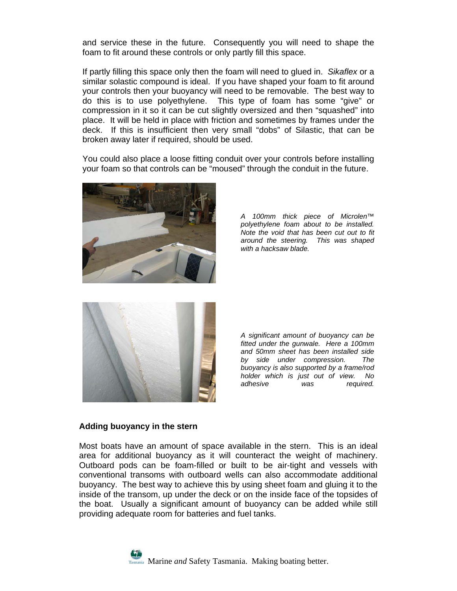and service these in the future. Consequently you will need to shape the foam to fit around these controls or only partly fill this space.

If partly filling this space only then the foam will need to glued in. *Sikaflex* or a similar solastic compound is ideal. If you have shaped your foam to fit around your controls then your buoyancy will need to be removable. The best way to do this is to use polyethylene. This type of foam has some "give" or compression in it so it can be cut slightly oversized and then "squashed" into place. It will be held in place with friction and sometimes by frames under the deck. If this is insufficient then very small "dobs" of Silastic, that can be broken away later if required, should be used.

You could also place a loose fitting conduit over your controls before installing your foam so that controls can be "moused" through the conduit in the future.



*A 100mm thick piece of Microlen™ polyethylene foam about to be installed. Note the void that has been cut out to fit around the steering. This was shaped with a hacksaw blade.*



*A significant amount of buoyancy can be fitted under the gunwale. Here a 100mm and 50mm sheet has been installed side by side under compression. The buoyancy is also supported by a frame/rod holder which is just out of view. No*  was required.

#### **Adding buoyancy in the stern**

Most boats have an amount of space available in the stern. This is an ideal area for additional buoyancy as it will counteract the weight of machinery. Outboard pods can be foam-filled or built to be air-tight and vessels with conventional transoms with outboard wells can also accommodate additional buoyancy. The best way to achieve this by using sheet foam and gluing it to the inside of the transom, up under the deck or on the inside face of the topsides of the boat. Usually a significant amount of buoyancy can be added while still providing adequate room for batteries and fuel tanks.

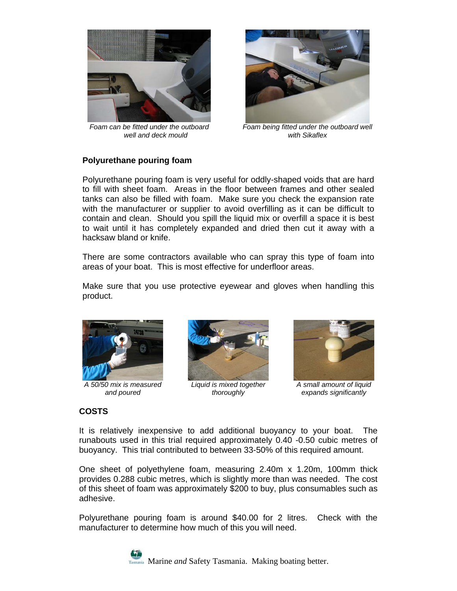

*Foam can be fitted under the outboard well and deck mould* 



*Foam being fitted under the outboard well with Sikaflex*

#### **Polyurethane pouring foam**

Polyurethane pouring foam is very useful for oddly-shaped voids that are hard to fill with sheet foam. Areas in the floor between frames and other sealed tanks can also be filled with foam. Make sure you check the expansion rate with the manufacturer or supplier to avoid overfilling as it can be difficult to contain and clean. Should you spill the liquid mix or overfill a space it is best to wait until it has completely expanded and dried then cut it away with a hacksaw bland or knife.

There are some contractors available who can spray this type of foam into areas of your boat. This is most effective for underfloor areas.

Make sure that you use protective eyewear and gloves when handling this product.



*A 50/50 mix is measured and poured* 



*Liquid is mixed together thoroughly* 



*A small amount of liquid expands significantly*

#### **COSTS**

It is relatively inexpensive to add additional buoyancy to your boat. The runabouts used in this trial required approximately 0.40 -0.50 cubic metres of buoyancy. This trial contributed to between 33-50% of this required amount.

One sheet of polyethylene foam, measuring 2.40m x 1.20m, 100mm thick provides 0.288 cubic metres, which is slightly more than was needed. The cost of this sheet of foam was approximately \$200 to buy, plus consumables such as adhesive.

Polyurethane pouring foam is around \$40.00 for 2 litres. Check with the manufacturer to determine how much of this you will need.